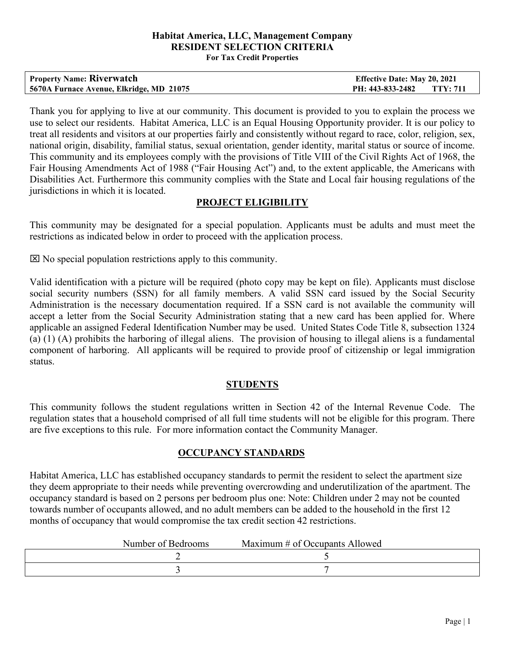#### **Habitat America, LLC, Management Company RESIDENT SELECTION CRITERIA For Tax Credit Properties**

| <b>Property Name: Riverwatch</b>         | <b>Effective Date: May 20, 2021</b> |  |
|------------------------------------------|-------------------------------------|--|
| 5670A Furnace Avenue, Elkridge, MD 21075 | PH: 443-833-2482 TTY: 711           |  |

Thank you for applying to live at our community. This document is provided to you to explain the process we use to select our residents. Habitat America, LLC is an Equal Housing Opportunity provider. It is our policy to treat all residents and visitors at our properties fairly and consistently without regard to race, color, religion, sex, national origin, disability, familial status, sexual orientation, gender identity, marital status or source of income. This community and its employees comply with the provisions of Title VIII of the Civil Rights Act of 1968, the Fair Housing Amendments Act of 1988 ("Fair Housing Act") and, to the extent applicable, the Americans with Disabilities Act. Furthermore this community complies with the State and Local fair housing regulations of the jurisdictions in which it is located.

### **PROJECT ELIGIBILITY**

This community may be designated for a special population. Applicants must be adults and must meet the restrictions as indicated below in order to proceed with the application process.

 $\boxtimes$  No special population restrictions apply to this community.

Valid identification with a picture will be required (photo copy may be kept on file). Applicants must disclose social security numbers (SSN) for all family members. A valid SSN card issued by the Social Security Administration is the necessary documentation required. If a SSN card is not available the community will accept a letter from the Social Security Administration stating that a new card has been applied for. Where applicable an assigned Federal Identification Number may be used. United States Code Title 8, subsection 1324 (a) (1) (A) prohibits the harboring of illegal aliens. The provision of housing to illegal aliens is a fundamental component of harboring. All applicants will be required to provide proof of citizenship or legal immigration status.

### **STUDENTS**

This community follows the student regulations written in Section 42 of the Internal Revenue Code. The regulation states that a household comprised of all full time students will not be eligible for this program. There are five exceptions to this rule. For more information contact the Community Manager.

### **OCCUPANCY STANDARDS**

Habitat America, LLC has established occupancy standards to permit the resident to select the apartment size they deem appropriate to their needs while preventing overcrowding and underutilization of the apartment. The occupancy standard is based on 2 persons per bedroom plus one: Note: Children under 2 may not be counted towards number of occupants allowed, and no adult members can be added to the household in the first 12 months of occupancy that would compromise the tax credit section 42 restrictions.

| Number of Bedrooms | Maximum # of Occupants Allowed |
|--------------------|--------------------------------|
|--------------------|--------------------------------|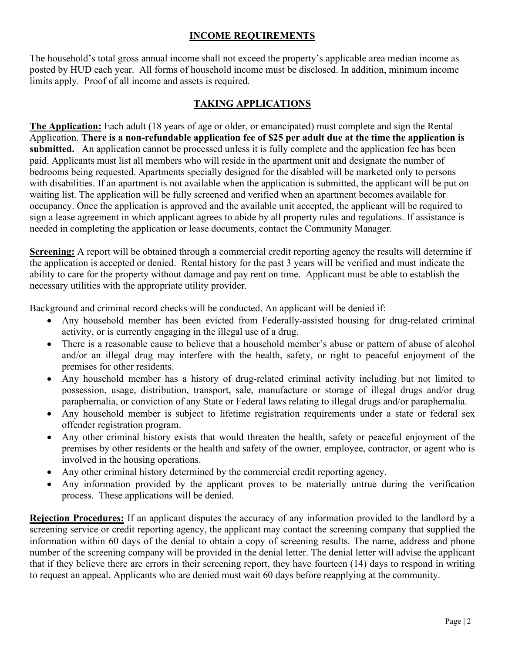### **INCOME REQUIREMENTS**

The household's total gross annual income shall not exceed the property's applicable area median income as posted by HUD each year. All forms of household income must be disclosed. In addition, minimum income limits apply. Proof of all income and assets is required.

# **TAKING APPLICATIONS**

**The Application:** Each adult (18 years of age or older, or emancipated) must complete and sign the Rental Application. **There is a non-refundable application fee of \$25 per adult due at the time the application is submitted.** An application cannot be processed unless it is fully complete and the application fee has been paid. Applicants must list all members who will reside in the apartment unit and designate the number of bedrooms being requested. Apartments specially designed for the disabled will be marketed only to persons with disabilities. If an apartment is not available when the application is submitted, the applicant will be put on waiting list. The application will be fully screened and verified when an apartment becomes available for occupancy. Once the application is approved and the available unit accepted, the applicant will be required to sign a lease agreement in which applicant agrees to abide by all property rules and regulations. If assistance is needed in completing the application or lease documents, contact the Community Manager.

**Screening:** A report will be obtained through a commercial credit reporting agency the results will determine if the application is accepted or denied. Rental history for the past 3 years will be verified and must indicate the ability to care for the property without damage and pay rent on time. Applicant must be able to establish the necessary utilities with the appropriate utility provider.

Background and criminal record checks will be conducted. An applicant will be denied if:

- Any household member has been evicted from Federally-assisted housing for drug-related criminal activity, or is currently engaging in the illegal use of a drug.
- There is a reasonable cause to believe that a household member's abuse or pattern of abuse of alcohol and/or an illegal drug may interfere with the health, safety, or right to peaceful enjoyment of the premises for other residents.
- Any household member has a history of drug-related criminal activity including but not limited to possession, usage, distribution, transport, sale, manufacture or storage of illegal drugs and/or drug paraphernalia, or conviction of any State or Federal laws relating to illegal drugs and/or paraphernalia.
- Any household member is subject to lifetime registration requirements under a state or federal sex offender registration program.
- Any other criminal history exists that would threaten the health, safety or peaceful enjoyment of the premises by other residents or the health and safety of the owner, employee, contractor, or agent who is involved in the housing operations.
- Any other criminal history determined by the commercial credit reporting agency.
- Any information provided by the applicant proves to be materially untrue during the verification process. These applications will be denied.

**Rejection Procedures:** If an applicant disputes the accuracy of any information provided to the landlord by a screening service or credit reporting agency, the applicant may contact the screening company that supplied the information within 60 days of the denial to obtain a copy of screening results. The name, address and phone number of the screening company will be provided in the denial letter. The denial letter will advise the applicant that if they believe there are errors in their screening report, they have fourteen (14) days to respond in writing to request an appeal. Applicants who are denied must wait 60 days before reapplying at the community.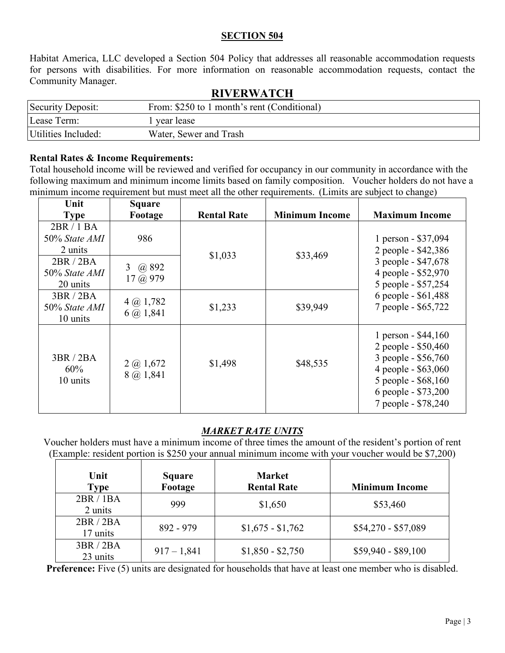### **SECTION 504**

Habitat America, LLC developed a Section 504 Policy that addresses all reasonable accommodation requests for persons with disabilities. For more information on reasonable accommodation requests, contact the Community Manager.

| 10 \ 21\ \ \ 11 \ C11 |                                             |  |  |
|-----------------------|---------------------------------------------|--|--|
| Security Deposit:     | From: \$250 to 1 month's rent (Conditional) |  |  |
| Lease Term:           | year lease                                  |  |  |
| Utilities Included:   | Water, Sewer and Trash                      |  |  |

# **RIVERWATCH**

#### **Rental Rates & Income Requirements:**

Total household income will be reviewed and verified for occupancy in our community in accordance with the following maximum and minimum income limits based on family composition. Voucher holders do not have a minimum income requirement but must meet all the other requirements. (Limits are subject to change)

| Unit                                   | Square                                     |                    |                       |                                                                                                                                                                |
|----------------------------------------|--------------------------------------------|--------------------|-----------------------|----------------------------------------------------------------------------------------------------------------------------------------------------------------|
| <b>Type</b>                            | Footage                                    | <b>Rental Rate</b> | <b>Minimum Income</b> | <b>Maximum Income</b>                                                                                                                                          |
| 2BR/1BA<br>50% State AMI<br>2 units    | 986                                        |                    |                       | 1 person - \$37,094<br>2 people - \$42,386                                                                                                                     |
| 2BR / 2BA<br>50% State AMI<br>20 units | @ 892<br>3 <sup>1</sup><br>$17 \omega 979$ | \$1,033            | \$33,469              | 3 people - \$47,678<br>4 people - \$52,970<br>5 people - \$57,254                                                                                              |
| 3BR / 2BA<br>50% State AMI<br>10 units | $4\omega$ 1,782<br>$6$ $\omega$ 1,841      | \$1,233            | \$39,949              | 6 people - \$61,488<br>7 people - \$65,722                                                                                                                     |
| 3BR/2BA<br>60%<br>10 units             | $2$ (a) 1,672<br>8 @ 1,841                 | \$1,498            | \$48,535              | 1 person - $$44,160$<br>2 people - \$50,460<br>3 people - \$56,760<br>4 people - \$63,060<br>5 people - \$68,160<br>6 people - \$73,200<br>7 people - \$78,240 |

# *MARKET RATE UNITS*

Voucher holders must have a minimum income of three times the amount of the resident's portion of rent (Example: resident portion is \$250 your annual minimum income with your voucher would be \$7,200)

| Unit<br><b>Type</b> | <b>Square</b><br>Footage | <b>Market</b><br><b>Rental Rate</b> | <b>Minimum Income</b> |
|---------------------|--------------------------|-------------------------------------|-----------------------|
| 2BR/1BA<br>2 units  | 999                      | \$1,650                             | \$53,460              |
| 2BR / 2BA           | $892 - 979$              | $$1,675 - $1,762$                   | $$54,270 - $57,089$   |
| 17 units            |                          |                                     |                       |
| 3BR/2BA             | $917 - 1,841$            | $$1,850 - $2,750$                   | $$59,940 - $89,100$   |
| 23 units            |                          |                                     |                       |

**Preference:** Five (5) units are designated for households that have at least one member who is disabled.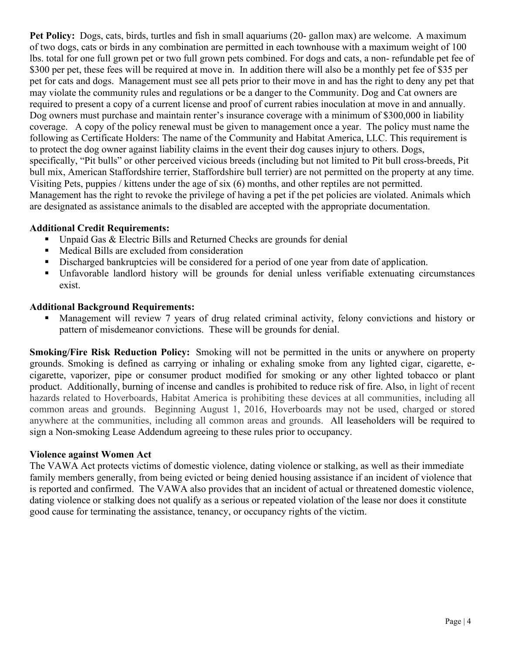**Pet Policy:** Dogs, cats, birds, turtles and fish in small aquariums (20- gallon max) are welcome. A maximum of two dogs, cats or birds in any combination are permitted in each townhouse with a maximum weight of 100 lbs. total for one full grown pet or two full grown pets combined. For dogs and cats, a non- refundable pet fee of \$300 per pet, these fees will be required at move in. In addition there will also be a monthly pet fee of \$35 per pet for cats and dogs. Management must see all pets prior to their move in and has the right to deny any pet that may violate the community rules and regulations or be a danger to the Community. Dog and Cat owners are required to present a copy of a current license and proof of current rabies inoculation at move in and annually. Dog owners must purchase and maintain renter's insurance coverage with a minimum of \$300,000 in liability coverage. A copy of the policy renewal must be given to management once a year. The policy must name the following as Certificate Holders: The name of the Community and Habitat America, LLC. This requirement is to protect the dog owner against liability claims in the event their dog causes injury to others. Dogs, specifically, "Pit bulls" or other perceived vicious breeds (including but not limited to Pit bull cross-breeds, Pit bull mix, American Staffordshire terrier, Staffordshire bull terrier) are not permitted on the property at any time. Visiting Pets, puppies / kittens under the age of six (6) months, and other reptiles are not permitted. Management has the right to revoke the privilege of having a pet if the pet policies are violated. Animals which are designated as assistance animals to the disabled are accepted with the appropriate documentation.

# **Additional Credit Requirements:**

- Unpaid Gas & Electric Bills and Returned Checks are grounds for denial
- Medical Bills are excluded from consideration
- Discharged bankruptcies will be considered for a period of one year from date of application.
- Unfavorable landlord history will be grounds for denial unless verifiable extenuating circumstances exist.

### **Additional Background Requirements:**

 Management will review 7 years of drug related criminal activity, felony convictions and history or pattern of misdemeanor convictions. These will be grounds for denial.

**Smoking/Fire Risk Reduction Policy:** Smoking will not be permitted in the units or anywhere on property grounds. Smoking is defined as carrying or inhaling or exhaling smoke from any lighted cigar, cigarette, ecigarette, vaporizer, pipe or consumer product modified for smoking or any other lighted tobacco or plant product. Additionally, burning of incense and candles is prohibited to reduce risk of fire. Also, in light of recent hazards related to Hoverboards, Habitat America is prohibiting these devices at all communities, including all common areas and grounds. Beginning August 1, 2016, Hoverboards may not be used, charged or stored anywhere at the communities, including all common areas and grounds. All leaseholders will be required to sign a Non-smoking Lease Addendum agreeing to these rules prior to occupancy.

### **Violence against Women Act**

The VAWA Act protects victims of domestic violence, dating violence or stalking, as well as their immediate family members generally, from being evicted or being denied housing assistance if an incident of violence that is reported and confirmed. The VAWA also provides that an incident of actual or threatened domestic violence, dating violence or stalking does not qualify as a serious or repeated violation of the lease nor does it constitute good cause for terminating the assistance, tenancy, or occupancy rights of the victim.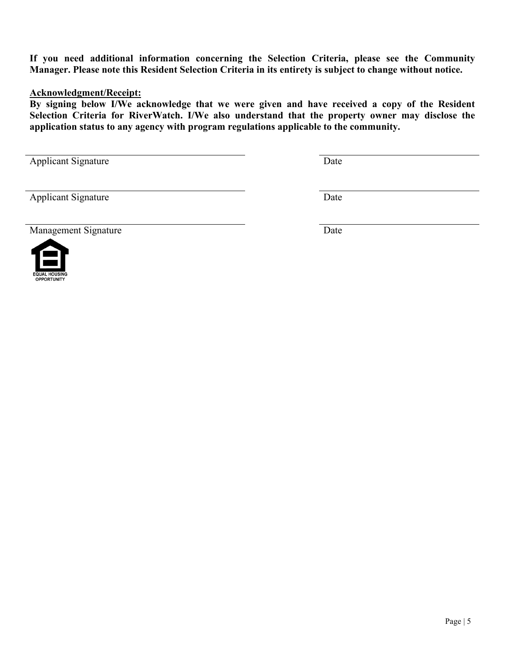**If you need additional information concerning the Selection Criteria, please see the Community Manager. Please note this Resident Selection Criteria in its entirety is subject to change without notice.** 

#### **Acknowledgment/Receipt:**

**By signing below I/We acknowledge that we were given and have received a copy of the Resident Selection Criteria for RiverWatch. I/We also understand that the property owner may disclose the application status to any agency with program regulations applicable to the community.**

Applicant Signature Date

Applicant Signature Date

Management Signature Date





**OPPORTUNITY**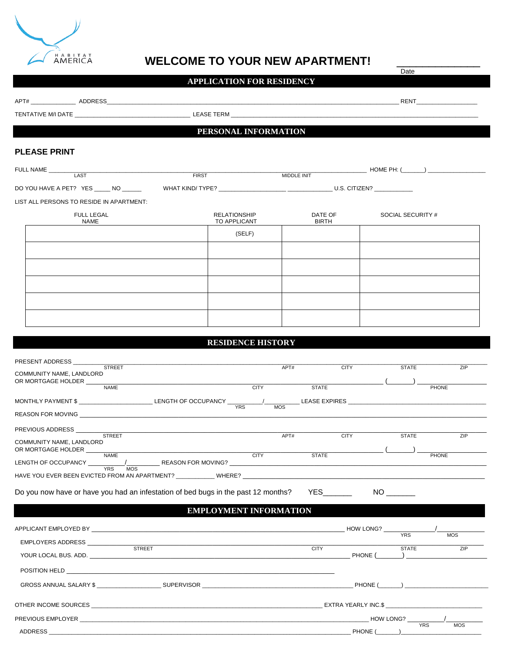

# WELCOME TO YOUR NEW APARTMENT!

Date

# **APPLICATION FOR RESIDENCY**

| TENTATIVE MII DATE TERMIE TERMIE TERMIE TERMIE TERMIE TERMIE TERMIE TERMIE TERMIE TERMIE TERMIE TERMIE TERMIE T                                                                                                               |                                                                            |                                  |              |                   |                             |
|-------------------------------------------------------------------------------------------------------------------------------------------------------------------------------------------------------------------------------|----------------------------------------------------------------------------|----------------------------------|--------------|-------------------|-----------------------------|
|                                                                                                                                                                                                                               | PERSONAL INFORMATION                                                       |                                  |              |                   |                             |
|                                                                                                                                                                                                                               |                                                                            |                                  |              |                   |                             |
| <b>PLEASE PRINT</b>                                                                                                                                                                                                           |                                                                            |                                  |              |                   |                             |
| FULL NAME<br>LAST                                                                                                                                                                                                             | <b>FIRST</b>                                                               | MIDDLE INIT                      |              |                   |                             |
|                                                                                                                                                                                                                               |                                                                            |                                  |              |                   |                             |
| LIST ALL PERSONS TO RESIDE IN APARTMENT:                                                                                                                                                                                      |                                                                            |                                  |              |                   |                             |
| FULL LEGAL                                                                                                                                                                                                                    | <b>RELATIONSHIP</b>                                                        | DATE OF                          |              | SOCIAL SECURITY # |                             |
| NAME                                                                                                                                                                                                                          | TO APPLICANT                                                               | <b>BIRTH</b>                     |              |                   |                             |
|                                                                                                                                                                                                                               | (SELF)                                                                     |                                  |              |                   |                             |
|                                                                                                                                                                                                                               |                                                                            |                                  |              |                   |                             |
|                                                                                                                                                                                                                               |                                                                            |                                  |              |                   |                             |
|                                                                                                                                                                                                                               |                                                                            |                                  |              |                   |                             |
|                                                                                                                                                                                                                               |                                                                            |                                  |              |                   |                             |
|                                                                                                                                                                                                                               |                                                                            |                                  |              |                   |                             |
|                                                                                                                                                                                                                               |                                                                            |                                  |              |                   |                             |
|                                                                                                                                                                                                                               |                                                                            |                                  |              |                   |                             |
| PRESENT ADDRESS _______<br><b>STREET</b><br>COMMUNITY NAME, LANDLORD<br>OR MORTGAGE HOLDER                                                                                                                                    |                                                                            | APT#                             | <b>CITY</b>  | <b>STATE</b>      | <b>ZIP</b>                  |
| <b>NAME</b>                                                                                                                                                                                                                   |                                                                            | <b>CITY CITY</b><br><b>STATE</b> |              |                   | <b>PHONE</b>                |
| MONTHLY PAYMENT \$ ______________________________LENGTH OF OCCUPANCY ______                                                                                                                                                   | YRS                                                                        | MOS                              |              |                   |                             |
| REASON FOR MOVING THE RESIDENCE IN A REASON FOR MOVING                                                                                                                                                                        |                                                                            |                                  |              |                   |                             |
| PREVIOUS ADDRESS _____<br><b>STREET</b>                                                                                                                                                                                       | the control of the control of the control of the control of the control of | APT#                             | <b>CITY</b>  | <b>STATE</b>      | <b>ZIP</b>                  |
| COMMUNITY NAME, LANDLORD<br>OR MORTGAGE HOLDER                                                                                                                                                                                |                                                                            |                                  |              |                   |                             |
| <b>NAME</b><br>LENGTH OF OCCUPANCY                                                                                                                                                                                            | _____ REASON FOR MOVING? __________                                        | <b>CITY CITY</b>                 | <b>STATE</b> |                   | <b>PHONE</b>                |
| <b>YRS</b><br><b>MOS</b>                                                                                                                                                                                                      |                                                                            |                                  |              |                   |                             |
|                                                                                                                                                                                                                               |                                                                            |                                  |              |                   |                             |
| Do you now have or have you had an infestation of bed bugs in the past 12 months?                                                                                                                                             |                                                                            |                                  |              |                   |                             |
|                                                                                                                                                                                                                               | <b>EMPLOYMENT INFORMATION</b>                                              |                                  |              |                   |                             |
|                                                                                                                                                                                                                               |                                                                            |                                  |              |                   |                             |
| APPLICANT EMPLOYED BY THE RESIDENCE OF A SERIES AND THE RESIDENCE OF A SERIES OF A SERIES OF A SERIES OF A SERIES OF A SERIES OF A SERIES OF A SERIES OF A SERIES OF A SERIES OF A SERIES OF A SERIES OF A SERIES OF A SERIES |                                                                            |                                  | HOW LONG?    | <b>YRS</b>        | <b>MOS</b>                  |
|                                                                                                                                                                                                                               |                                                                            | CTY                              |              | <b>STATE</b>      | ZIP                         |
|                                                                                                                                                                                                                               |                                                                            |                                  | PHONE (      |                   |                             |
|                                                                                                                                                                                                                               |                                                                            |                                  |              |                   |                             |
|                                                                                                                                                                                                                               |                                                                            |                                  |              |                   |                             |
|                                                                                                                                                                                                                               |                                                                            |                                  |              |                   | $PHONE$ ( $\qquad \qquad$ ) |
|                                                                                                                                                                                                                               |                                                                            |                                  |              |                   |                             |

ADDRESS \_\_\_\_\_\_\_\_\_\_\_\_\_\_\_\_\_\_\_\_\_\_\_\_\_\_\_\_\_\_\_\_\_\_\_\_\_\_\_\_\_\_\_\_\_\_\_\_\_\_\_\_\_\_\_\_\_\_\_\_\_\_\_\_\_\_\_\_\_\_\_\_\_\_\_\_\_\_\_\_\_\_\_\_\_\_\_\_\_\_\_\_\_\_ PHONE (\_\_\_\_\_\_\_)\_\_\_\_\_\_\_\_\_\_\_\_\_\_\_\_\_\_\_\_\_\_\_\_\_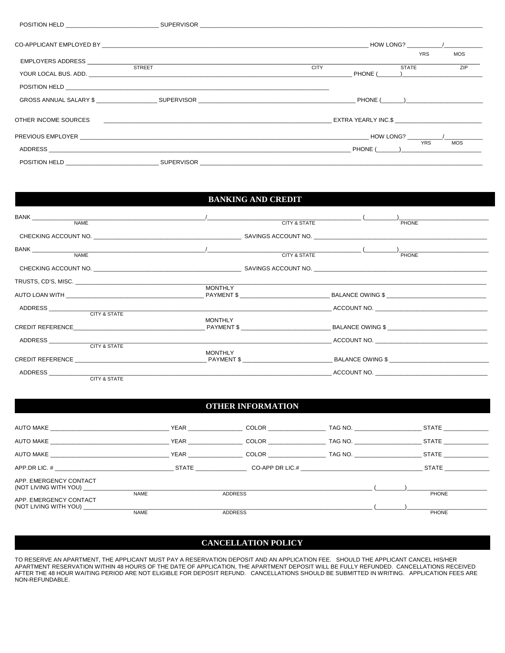|                      |                                                                             |             | HOW LONG?                                                                   |
|----------------------|-----------------------------------------------------------------------------|-------------|-----------------------------------------------------------------------------|
| EMPLOYERS ADDRESS    |                                                                             |             | <b>YRS</b><br><b>MOS</b>                                                    |
|                      | <b>STREET</b>                                                               | <b>CITY</b> | ZIP<br><b>STATE</b><br>PHONE ( )                                            |
|                      |                                                                             |             |                                                                             |
|                      | GROSS ANNUAL SALARY \$          SUPERVISOR                       PHONE(   ) |             |                                                                             |
| OTHER INCOME SOURCES |                                                                             |             | EXTRA YEARLY INC.\$                                                         |
|                      |                                                                             |             | HOW LONG? $\frac{1}{\sqrt{1-\frac{1}{2}}}\left\vert \frac{1}{2}\right\vert$ |
|                      |                                                                             |             | <b>YRS</b><br><b>MOS</b><br>PHONE ( )                                       |
|                      | POSITION HELD SUPERVISOR SUPERVISOR                                         |             |                                                                             |

#### **BANKING AND CREDIT**

|                                                                 | <b>CITY &amp; STATE</b> | $($ $)$<br>PHONE |
|-----------------------------------------------------------------|-------------------------|------------------|
|                                                                 |                         |                  |
|                                                                 |                         |                  |
|                                                                 |                         |                  |
|                                                                 |                         |                  |
|                                                                 |                         |                  |
|                                                                 |                         |                  |
|                                                                 | <b>MONTHLY</b>          |                  |
|                                                                 |                         |                  |
|                                                                 |                         |                  |
| CREDIT REFERENCE THE STATE OF A PAYMENT \$ THE SALANCE OWING \$ | MONTHLY                 |                  |
|                                                                 |                         | ACCOUNT NO.      |
|                                                                 |                         |                  |
|                                                                 | MONTHLY                 | BALANCE OWING \$ |
|                                                                 |                         | ACCOUNT NO.      |
| CITY & STATE                                                    |                         |                  |

#### **OTHER INFORMATION**

|                                                                       |             |             |                | COLOR <b>COLOR</b> | TAG NO. | <b>STATE</b> |  |
|-----------------------------------------------------------------------|-------------|-------------|----------------|--------------------|---------|--------------|--|
| AUTO MAKE AUTO MAKE                                                   |             |             |                | COLOR <b>COLOR</b> | TAG NO. | <b>STATE</b> |  |
|                                                                       |             | <b>YEAR</b> |                | COLOR <b>COLOR</b> | TAG NO. | <b>STATE</b> |  |
| APP DR LIC. #                                                         |             |             | <b>STATE</b>   |                    |         | <b>STATE</b> |  |
| APP. EMERGENCY CONTACT<br>(NOT LIVING WITH YOU) _____________________ | <b>NAME</b> |             | <b>ADDRESS</b> |                    |         | <b>PHONE</b> |  |
| APP. EMERGENCY CONTACT<br>(NOT LIVING WITH YOU)                       | <b>NAME</b> |             | <b>ADDRESS</b> |                    |         | PHONE        |  |

#### **CANCELLATION POLICY**

TO RESERVE AN APARTMENT, THE APPLICANT MUST PAY A RESERVATION DEPOSIT AND AN APPLICATION FEE. SHOULD THE APPLICANT CANCEL HIS/HER<br>APARTMENT RESERVATION WITHIN 48 HOURS OF THE DATE OF APPLICATION, THE APARTMENT DEPOSIT WILL NON-REFUNDABLE.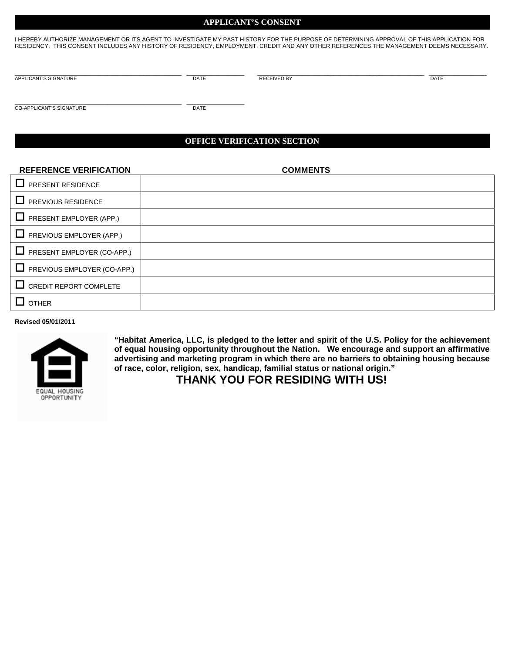#### **APPLICANT'S CONSENT**

I HEREBY AUTHORIZE MANAGEMENT OR ITS AGENT TO INVESTIGATE MY PAST HISTORY FOR THE PURPOSE OF DETERMINING APPROVAL OF THIS APPLICATION FOR RESIDENCY. THIS CONSENT INCLUDES ANY HISTORY OF RESIDENCY, EMPLOYMENT, CREDIT AND ANY OTHER REFERENCES THE MANAGEMENT DEEMS NECESSARY.

\_\_\_\_\_\_\_\_\_\_\_\_\_\_\_\_\_\_\_\_\_\_\_\_\_\_\_\_\_\_\_\_\_\_\_\_\_\_\_\_\_\_\_\_\_\_\_\_\_\_\_\_ \_\_\_\_\_\_\_\_\_\_\_\_\_\_\_\_\_\_ \_\_\_\_\_\_\_\_\_\_\_\_\_\_\_\_\_\_\_\_\_\_\_\_\_\_\_\_\_\_\_\_\_\_\_\_\_\_\_\_\_\_\_\_\_\_\_\_\_\_\_\_ \_\_\_\_\_\_\_\_\_\_\_\_\_\_\_\_\_\_ APPLICANT'S SIGNATURE **Example 20 ACCESS CONSUMING THE CELL ACCESS OF ACCESS OF ACCESS CONSUMING THE CELL ACCESS OF ACCESS OF ACCESS OF ACCESS OF ACCESS OF ACCESS OF ACCESS OF ACCESS OF ACCESS OF ACCESS OF ACCESS OF ACCESS** 

\_\_\_\_\_\_\_\_\_\_\_\_\_\_\_\_\_\_\_\_\_\_\_\_\_\_\_\_\_\_\_\_\_\_\_\_\_\_\_\_\_\_\_\_\_\_\_\_\_\_\_\_ \_\_\_\_\_\_\_\_\_\_\_\_\_\_\_\_\_\_ CO-APPLICANT'S SIGNATURE DATE

#### **OFFICE VERIFICATION SECTION**

| <b>REFERENCE VERIFICATION</b>   | <b>COMMENTS</b> |
|---------------------------------|-----------------|
| $\Box$ PRESENT RESIDENCE        |                 |
| $\Box$ PREVIOUS RESIDENCE       |                 |
| $\Box$ PRESENT EMPLOYER (APP.)  |                 |
| $\Box$ PREVIOUS EMPLOYER (APP.) |                 |
| PRESENT EMPLOYER (CO-APP.)      |                 |
| PREVIOUS EMPLOYER (CO-APP.)     |                 |
| $\Box$ CREDIT REPORT COMPLETE   |                 |
| $\Box$ other                    |                 |

**Revised 05/01/2011**



**"Habitat America, LLC, is pledged to the letter and spirit of the U.S. Policy for the achievement of equal housing opportunity throughout the Nation. We encourage and support an affirmative advertising and marketing program in which there are no barriers to obtaining housing because of race, color, religion, sex, handicap, familial status or national origin."**

 **THANK YOU FOR RESIDING WITH US!**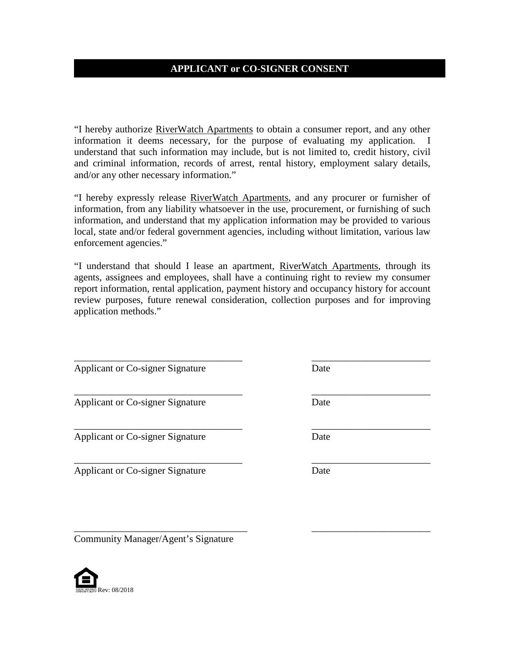# **APPLICANT or CO-SIGNER CONSENT**

"I hereby authorize RiverWatch Apartments to obtain a consumer report, and any other information it deems necessary, for the purpose of evaluating my application. I understand that such information may include, but is not limited to, credit history, civil and criminal information, records of arrest, rental history, employment salary details, and/or any other necessary information."

"I hereby expressly release RiverWatch Apartments, and any procurer or furnisher of information, from any liability whatsoever in the use, procurement, or furnishing of such information, and understand that my application information may be provided to various local, state and/or federal government agencies, including without limitation, various law enforcement agencies."

"I understand that should I lease an apartment, RiverWatch Apartments, through its agents, assignees and employees, shall have a continuing right to review my consumer report information, rental application, payment history and occupancy history for account review purposes, future renewal consideration, collection purposes and for improving application methods."

\_\_\_\_\_\_\_\_\_\_\_\_\_\_\_\_\_\_\_\_\_\_\_\_\_\_\_\_\_\_\_\_\_\_ \_\_\_\_\_\_\_\_\_\_\_\_\_\_\_\_\_\_\_\_\_\_\_\_

\_\_\_\_\_\_\_\_\_\_\_\_\_\_\_\_\_\_\_\_\_\_\_\_\_\_\_\_\_\_\_\_\_\_ \_\_\_\_\_\_\_\_\_\_\_\_\_\_\_\_\_\_\_\_\_\_\_\_

\_\_\_\_\_\_\_\_\_\_\_\_\_\_\_\_\_\_\_\_\_\_\_\_\_\_\_\_\_\_\_\_\_\_ \_\_\_\_\_\_\_\_\_\_\_\_\_\_\_\_\_\_\_\_\_\_\_\_

\_\_\_\_\_\_\_\_\_\_\_\_\_\_\_\_\_\_\_\_\_\_\_\_\_\_\_\_\_\_\_\_\_\_\_ \_\_\_\_\_\_\_\_\_\_\_\_\_\_\_\_\_\_\_\_\_\_\_\_

Applicant or Co-signer Signature Date

Applicant or Co-signer Signature Date

Applicant or Co-signer Signature Date

Applicant or Co-signer Signature Date

Community Manager/Agent's Signature



\_\_\_\_\_\_\_\_\_\_\_\_\_\_\_\_\_\_\_\_\_\_\_\_\_\_\_\_\_\_\_\_\_\_ \_\_\_\_\_\_\_\_\_\_\_\_\_\_\_\_\_\_\_\_\_\_\_\_